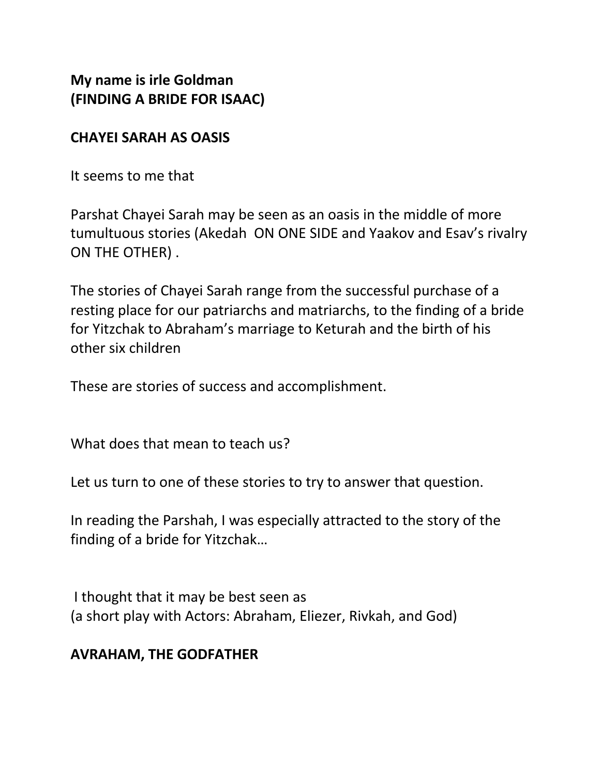**My name is irle Goldman (FINDING A BRIDE FOR ISAAC)**

#### **CHAYEI SARAH AS OASIS**

It seems to me that

Parshat Chayei Sarah may be seen as an oasis in the middle of more tumultuous stories (Akedah ON ONE SIDE and Yaakov and Esav's rivalry ON THE OTHER) .

The stories of Chayei Sarah range from the successful purchase of a resting place for our patriarchs and matriarchs, to the finding of a bride for Yitzchak to Abraham's marriage to Keturah and the birth of his other six children

These are stories of success and accomplishment.

What does that mean to teach us?

Let us turn to one of these stories to try to answer that question.

In reading the Parshah, I was especially attracted to the story of the finding of a bride for Yitzchak…

I thought that it may be best seen as (a short play with Actors: Abraham, Eliezer, Rivkah, and God)

### **AVRAHAM, THE GODFATHER**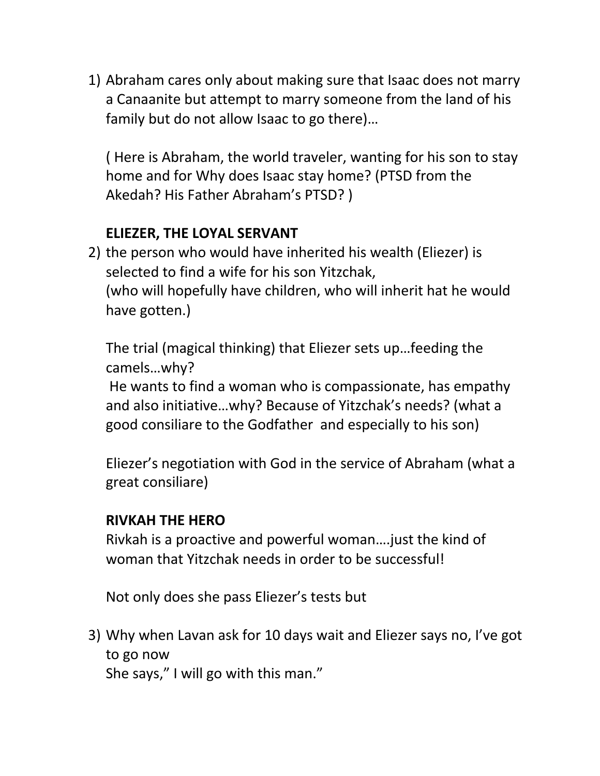1) Abraham cares only about making sure that Isaac does not marry a Canaanite but attempt to marry someone from the land of his family but do not allow Isaac to go there)…

( Here is Abraham, the world traveler, wanting for his son to stay home and for Why does Isaac stay home? (PTSD from the Akedah? His Father Abraham's PTSD? )

## **ELIEZER, THE LOYAL SERVANT**

2) the person who would have inherited his wealth (Eliezer) is selected to find a wife for his son Yitzchak, (who will hopefully have children, who will inherit hat he would have gotten.)

The trial (magical thinking) that Eliezer sets up…feeding the camels…why?

He wants to find a woman who is compassionate, has empathy and also initiative…why? Because of Yitzchak's needs? (what a good consiliare to the Godfather and especially to his son)

Eliezer's negotiation with God in the service of Abraham (what a great consiliare)

### **RIVKAH THE HERO**

Rivkah is a proactive and powerful woman….just the kind of woman that Yitzchak needs in order to be successful!

Not only does she pass Eliezer's tests but

3) Why when Lavan ask for 10 days wait and Eliezer says no, I've got to go now

She says," I will go with this man."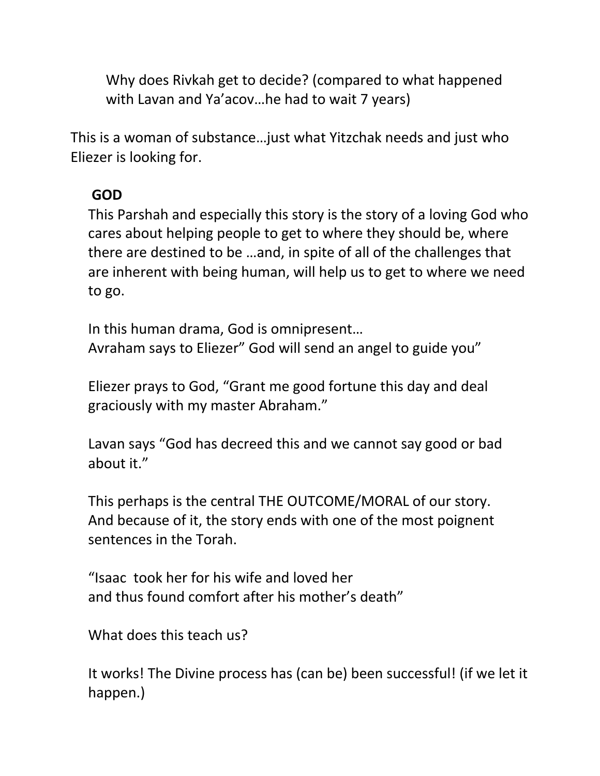Why does Rivkah get to decide? (compared to what happened with Lavan and Ya'acov…he had to wait 7 years)

This is a woman of substance…just what Yitzchak needs and just who Eliezer is looking for.

# **GOD**

This Parshah and especially this story is the story of a loving God who cares about helping people to get to where they should be, where there are destined to be …and, in spite of all of the challenges that are inherent with being human, will help us to get to where we need to go.

In this human drama, God is omnipresent… Avraham says to Eliezer" God will send an angel to guide you"

Eliezer prays to God, "Grant me good fortune this day and deal graciously with my master Abraham."

Lavan says "God has decreed this and we cannot say good or bad about it."

This perhaps is the central THE OUTCOME/MORAL of our story. And because of it, the story ends with one of the most poignent sentences in the Torah.

"Isaac took her for his wife and loved her and thus found comfort after his mother's death"

What does this teach us?

It works! The Divine process has (can be) been successful! (if we let it happen.)